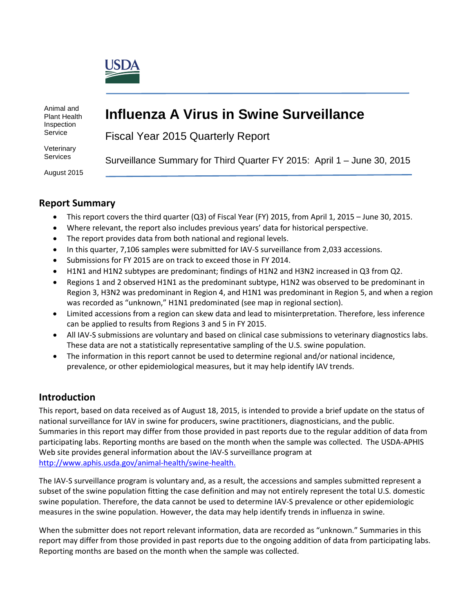

Animal and Plant Health Inspection Service

# **Influenza A Virus in Swine Surveillance**

Fiscal Year 2015 Quarterly Report

**Veterinary Services** 

August 2015

Surveillance Summary for Third Quarter FY 2015: April 1 – June 30, 2015

# **Report Summary**

- This report covers the third quarter (Q3) of Fiscal Year (FY) 2015, from April 1, 2015 June 30, 2015.
- Where relevant, the report also includes previous years' data for historical perspective.
- The report provides data from both national and regional levels.
- In this quarter, 7,106 samples were submitted for IAV-S surveillance from 2,033 accessions.
- Submissions for FY 2015 are on track to exceed those in FY 2014.
- H1N1 and H1N2 subtypes are predominant; findings of H1N2 and H3N2 increased in Q3 from Q2.
- Regions 1 and 2 observed H1N1 as the predominant subtype, H1N2 was observed to be predominant in Region 3, H3N2 was predominant in Region 4, and H1N1 was predominant in Region 5, and when a region was recorded as "unknown," H1N1 predominated (see map in regional section).
- Limited accessions from a region can skew data and lead to misinterpretation. Therefore, less inference can be applied to results from Regions 3 and 5 in FY 2015.
- All IAV-S submissions are voluntary and based on clinical case submissions to veterinary diagnostics labs. These data are not a statistically representative sampling of the U.S. swine population.
- The information in this report cannot be used to determine regional and/or national incidence, prevalence, or other epidemiological measures, but it may help identify IAV trends.

# **Introduction**

This report, based on data received as of August 18, 2015, is intended to provide a brief update on the status of national surveillance for IAV in swine for producers, swine practitioners, diagnosticians, and the public. Summaries in this report may differ from those provided in past reports due to the regular addition of data from participating labs. Reporting months are based on the month when the sample was collected. The USDA-APHIS Web site provides general information about the IAV-S surveillance program at [http://www.aphis.usda.gov/animal-health/swine-health.](http://www.aphis.usda.gov/wps/portal/aphis/ourfocus/animalhealth?1dmy&urile=wcm%3apath%3a%2Faphis_content_library%2Fsa_our_focus%2Fsa_animal_health%2Fsa_animal_disease_information%2Fsa_swine_health)

The IAV-S surveillance program is voluntary and, as a result, the accessions and samples submitted represent a subset of the swine population fitting the case definition and may not entirely represent the total U.S. domestic swine population. Therefore, the data cannot be used to determine IAV-S prevalence or other epidemiologic measures in the swine population. However, the data may help identify trends in influenza in swine.

When the submitter does not report relevant information, data are recorded as "unknown." Summaries in this report may differ from those provided in past reports due to the ongoing addition of data from participating labs. Reporting months are based on the month when the sample was collected.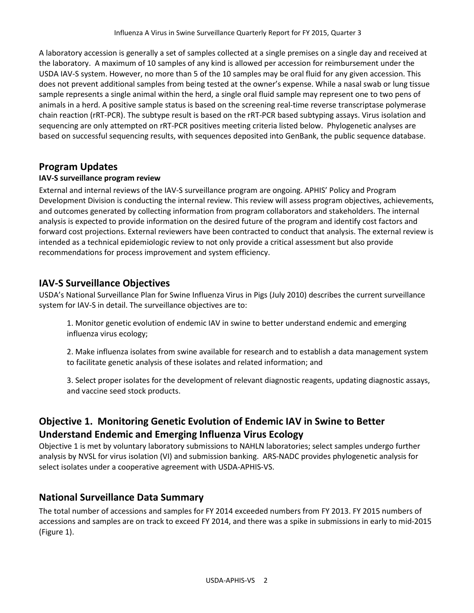A laboratory accession is generally a set of samples collected at a single premises on a single day and received at the laboratory. A maximum of 10 samples of any kind is allowed per accession for reimbursement under the USDA IAV-S system. However, no more than 5 of the 10 samples may be oral fluid for any given accession. This does not prevent additional samples from being tested at the owner's expense. While a nasal swab or lung tissue sample represents a single animal within the herd, a single oral fluid sample may represent one to two pens of animals in a herd. A positive sample status is based on the screening real-time reverse transcriptase polymerase chain reaction (rRT-PCR). The subtype result is based on the rRT-PCR based subtyping assays. Virus isolation and sequencing are only attempted on rRT-PCR positives meeting criteria listed below. Phylogenetic analyses are based on successful sequencing results, with sequences deposited into GenBank, the public sequence database.

### **Program Updates**

#### **IAV-S surveillance program review**

External and internal reviews of the IAV-S surveillance program are ongoing. APHIS' Policy and Program Development Division is conducting the internal review. This review will assess program objectives, achievements, and outcomes generated by collecting information from program collaborators and stakeholders. The internal analysis is expected to provide information on the desired future of the program and identify cost factors and forward cost projections. External reviewers have been contracted to conduct that analysis. The external review is intended as a technical epidemiologic review to not only provide a critical assessment but also provide recommendations for process improvement and system efficiency.

### **IAV-S Surveillance Objectives**

USDA's National Surveillance Plan for Swine Influenza Virus in Pigs (July 2010) describes the current surveillance system for IAV-S in detail. The surveillance objectives are to:

1. Monitor genetic evolution of endemic IAV in swine to better understand endemic and emerging influenza virus ecology;

2. Make influenza isolates from swine available for research and to establish a data management system to facilitate genetic analysis of these isolates and related information; and

3. Select proper isolates for the development of relevant diagnostic reagents, updating diagnostic assays, and vaccine seed stock products.

# **Objective 1. Monitoring Genetic Evolution of Endemic IAV in Swine to Better Understand Endemic and Emerging Influenza Virus Ecology**

Objective 1 is met by voluntary laboratory submissions to NAHLN laboratories; select samples undergo further analysis by NVSL for virus isolation (VI) and submission banking. ARS-NADC provides phylogenetic analysis for select isolates under a cooperative agreement with USDA-APHIS-VS.

### **National Surveillance Data Summary**

The total number of accessions and samples for FY 2014 exceeded numbers from FY 2013. FY 2015 numbers of accessions and samples are on track to exceed FY 2014, and there was a spike in submissions in early to mid-2015 (Figure 1).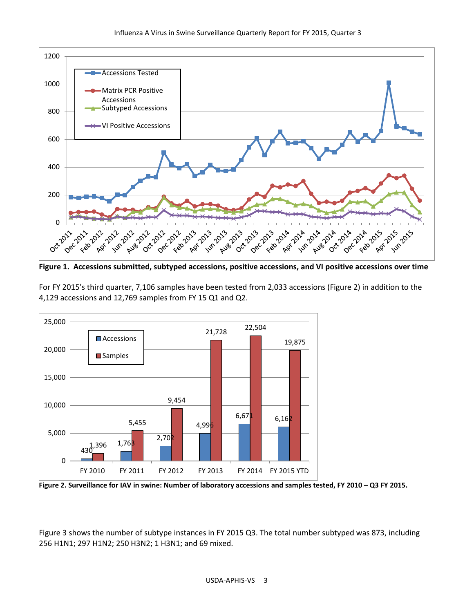

**Figure 1. Accessions submitted, subtyped accessions, positive accessions, and VI positive accessions over time**

For FY 2015's third quarter, 7,106 samples have been tested from 2,033 accessions (Figure 2) in addition to the 4,129 accessions and 12,769 samples from FY 15 Q1 and Q2.



**Figure 2. Surveillance for IAV in swine: Number of laboratory accessions and samples tested, FY 2010 – Q3 FY 2015.**

Figure 3 shows the number of subtype instances in FY 2015 Q3. The total number subtyped was 873, including 256 H1N1; 297 H1N2; 250 H3N2; 1 H3N1; and 69 mixed.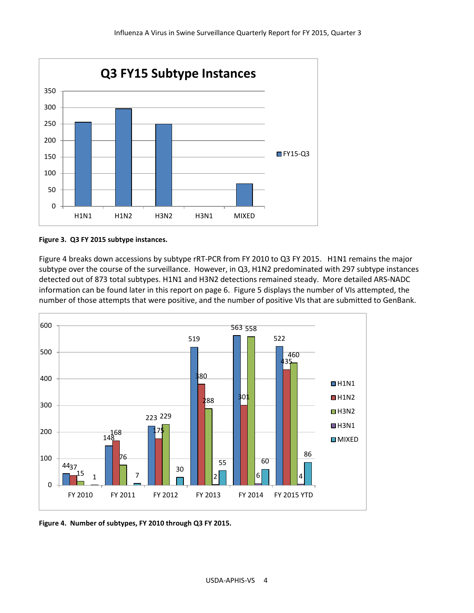

**Figure 3. Q3 FY 2015 subtype instances.** 

Figure 4 breaks down accessions by subtype rRT-PCR from FY 2010 to Q3 FY 2015. H1N1 remains the major subtype over the course of the surveillance. However, in Q3, H1N2 predominated with 297 subtype instances detected out of 873 total subtypes. H1N1 and H3N2 detections remained steady. More detailed ARS-NADC information can be found later in this report on page 6. Figure 5 displays the number of VIs attempted, the number of those attempts that were positive, and the number of positive VIs that are submitted to GenBank.



**Figure 4. Number of subtypes, FY 2010 through Q3 FY 2015.**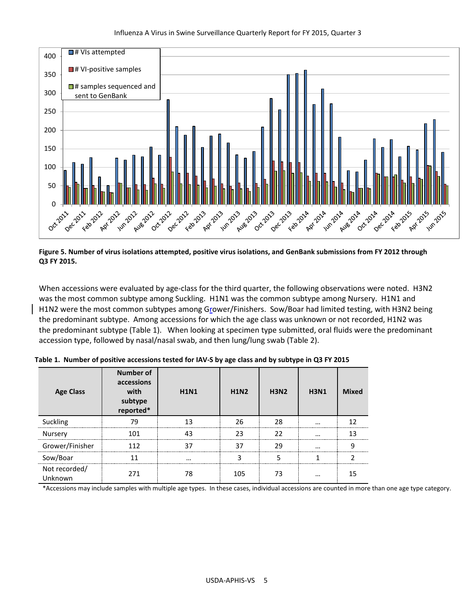

**Figure 5. Number of virus isolations attempted, positive virus isolations, and GenBank submissions from FY 2012 through Q3 FY 2015.**

When accessions were evaluated by age-class for the third quarter, the following observations were noted. H3N2 was the most common subtype among Suckling. H1N1 was the common subtype among Nursery. H1N1 and H1N2 were the most common subtypes among Grower/Finishers. Sow/Boar had limited testing, with H3N2 being the predominant subtype. Among accessions for which the age class was unknown or not recorded, H1N2 was the predominant subtype (Table 1). When looking at specimen type submitted, oral fluids were the predominant accession type, followed by nasal/nasal swab, and then lung/lung swab (Table 2).

| <b>Age Class</b>         | <b>Number of</b><br>accessions<br>with<br>subtype<br>reported* | <b>H1N1</b> | <b>H1N2</b> | <b>H3N2</b> | <b>H3N1</b> | <b>Mixed</b> |
|--------------------------|----------------------------------------------------------------|-------------|-------------|-------------|-------------|--------------|
| Suckling                 | 79                                                             | 13          | 26          | 28          |             |              |
| Nursery                  | 101                                                            | 43          | 23          | 22          | $\cdots$    |              |
| Grower/Finisher          | 112                                                            |             | 37          | 29          | $\cdots$    |              |
| Sow/Boar                 |                                                                |             |             |             |             |              |
| Not recorded/<br>Unknown | 271                                                            | 78          | 105         | 73          |             |              |

**Table 1. Number of positive accessions tested for IAV-S by age class and by subtype in Q3 FY 2015**

\*Accessions may include samples with multiple age types. In these cases, individual accessions are counted in more than one age type category.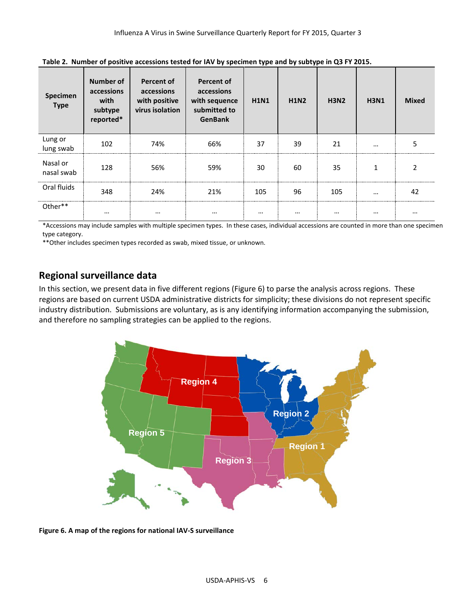| Specimen<br><b>Type</b> | <b>Number of</b><br>accessions<br>with<br>subtype<br>reported* | <b>Percent of</b><br>accessions<br>with positive<br>virus isolation | <b>Percent of</b><br>accessions<br>with sequence<br>submitted to<br><b>GenBank</b> | <b>H1N1</b> | <b>H1N2</b> | <b>H3N2</b> | <b>H3N1</b> | <b>Mixed</b> |
|-------------------------|----------------------------------------------------------------|---------------------------------------------------------------------|------------------------------------------------------------------------------------|-------------|-------------|-------------|-------------|--------------|
| Lung or<br>lung swab    | 102                                                            | 74%                                                                 | 66%                                                                                | 37          | 39          | 21          | $\cdots$    | 5            |
| Nasal or<br>nasal swab  | 128                                                            | 56%                                                                 | 59%                                                                                | 30          | 60          | 35          | 1           |              |
| Oral fluids             | 348                                                            | 24%                                                                 | 21%                                                                                | 105         | 96          | 105         | $\cdots$    | 42           |
| Other**                 | $\cdots$                                                       | $\cdots$                                                            | $\cdots$                                                                           | $\cdots$    | $\cdots$    | $\cdots$    | $\cdots$    | $\cdots$     |

**Table 2. Number of positive accessions tested for IAV by specimen type and by subtype in Q3 FY 2015.**

\*Accessions may include samples with multiple specimen types. In these cases, individual accessions are counted in more than one specimen type category.

\*\*Other includes specimen types recorded as swab, mixed tissue, or unknown.

### **Regional surveillance data**

In this section, we present data in five different regions (Figure 6) to parse the analysis across regions. These regions are based on current USDA administrative districts for simplicity; these divisions do not represent specific industry distribution. Submissions are voluntary, as is any identifying information accompanying the submission, and therefore no sampling strategies can be applied to the regions.



**Figure 6. A map of the regions for national IAV-S surveillance**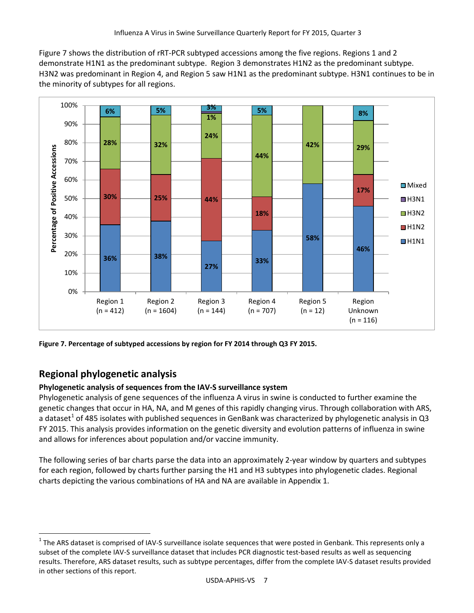Figure 7 shows the distribution of rRT-PCR subtyped accessions among the five regions. Regions 1 and 2 demonstrate H1N1 as the predominant subtype. Region 3 demonstrates H1N2 as the predominant subtype. H3N2 was predominant in Region 4, and Region 5 saw H1N1 as the predominant subtype. H3N1 continues to be in the minority of subtypes for all regions.



**Figure 7. Percentage of subtyped accessions by region for FY 2014 through Q3 FY 2015.**

# **Regional phylogenetic analysis**

#### **Phylogenetic analysis of sequences from the IAV-S surveillance system**

Phylogenetic analysis of gene sequences of the influenza A virus in swine is conducted to further examine the genetic changes that occur in HA, NA, and M genes of this rapidly changing virus. Through collaboration with ARS, a dataset<sup>[1](#page-6-0)</sup> of 485 isolates with published sequences in GenBank was characterized by phylogenetic analysis in Q3 FY 2015. This analysis provides information on the genetic diversity and evolution patterns of influenza in swine and allows for inferences about population and/or vaccine immunity.

The following series of bar charts parse the data into an approximately 2-year window by quarters and subtypes for each region, followed by charts further parsing the H1 and H3 subtypes into phylogenetic clades. Regional charts depicting the various combinations of HA and NA are available in Appendix 1.

<span id="page-6-0"></span> $1$  The ARS dataset is comprised of IAV-S surveillance isolate sequences that were posted in Genbank. This represents only a subset of the complete IAV-S surveillance dataset that includes PCR diagnostic test-based results as well as sequencing results. Therefore, ARS dataset results, such as subtype percentages, differ from the complete IAV-S dataset results provided in other sections of this report.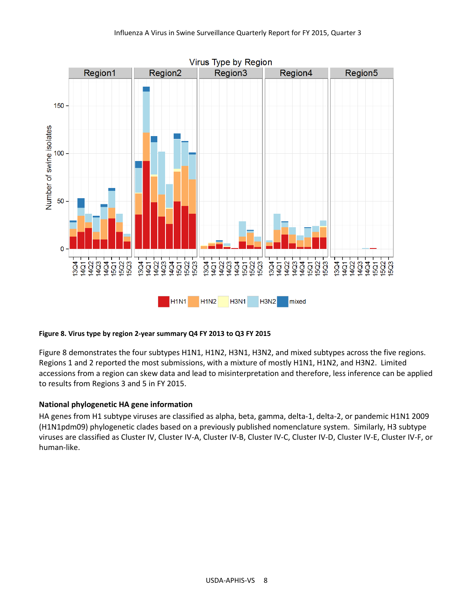

#### **Figure 8. Virus type by region 2-year summary Q4 FY 2013 to Q3 FY 2015**

Figure 8 demonstrates the four subtypes H1N1, H1N2, H3N1, H3N2, and mixed subtypes across the five regions. Regions 1 and 2 reported the most submissions, with a mixture of mostly H1N1, H1N2, and H3N2. Limited accessions from a region can skew data and lead to misinterpretation and therefore, less inference can be applied to results from Regions 3 and 5 in FY 2015.

#### **National phylogenetic HA gene information**

HA genes from H1 subtype viruses are classified as alpha, beta, gamma, delta-1, delta-2, or pandemic H1N1 2009 (H1N1pdm09) phylogenetic clades based on a previously published nomenclature system. Similarly, H3 subtype viruses are classified as Cluster IV, Cluster IV-A, Cluster IV-B, Cluster IV-C, Cluster IV-D, Cluster IV-E, Cluster IV-F, or human-like.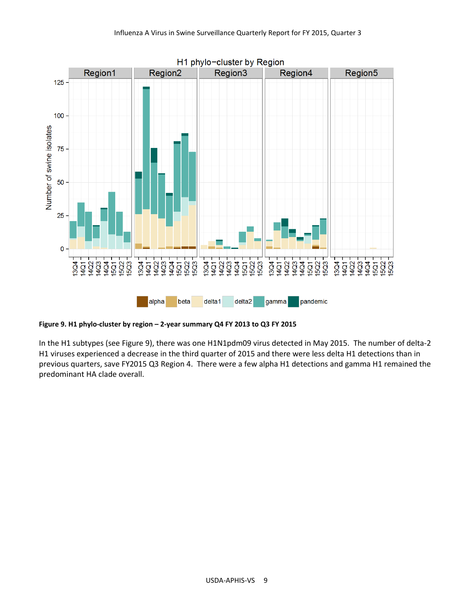

**Figure 9. H1 phylo-cluster by region – 2-year summary Q4 FY 2013 to Q3 FY 2015**

In the H1 subtypes (see Figure 9), there was one H1N1pdm09 virus detected in May 2015. The number of delta-2 H1 viruses experienced a decrease in the third quarter of 2015 and there were less delta H1 detections than in previous quarters, save FY2015 Q3 Region 4. There were a few alpha H1 detections and gamma H1 remained the predominant HA clade overall.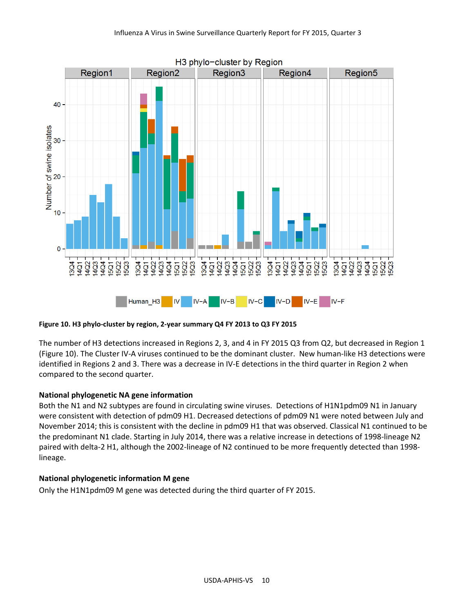

**Figure 10. H3 phylo-cluster by region, 2-year summary Q4 FY 2013 to Q3 FY 2015**

The number of H3 detections increased in Regions 2, 3, and 4 in FY 2015 Q3 from Q2, but decreased in Region 1 (Figure 10). The Cluster IV-A viruses continued to be the dominant cluster. New human-like H3 detections were identified in Regions 2 and 3. There was a decrease in IV-E detections in the third quarter in Region 2 when compared to the second quarter.

#### **National phylogenetic NA gene information**

Both the N1 and N2 subtypes are found in circulating swine viruses. Detections of H1N1pdm09 N1 in January were consistent with detection of pdm09 H1. Decreased detections of pdm09 N1 were noted between July and November 2014; this is consistent with the decline in pdm09 H1 that was observed. Classical N1 continued to be the predominant N1 clade. Starting in July 2014, there was a relative increase in detections of 1998-lineage N2 paired with delta-2 H1, although the 2002-lineage of N2 continued to be more frequently detected than 1998 lineage.

#### **National phylogenetic information M gene**

Only the H1N1pdm09 M gene was detected during the third quarter of FY 2015.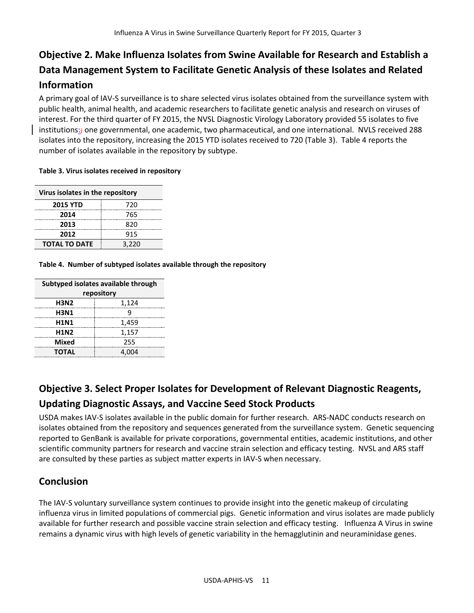# **Objective 2. Make Influenza Isolates from Swine Available for Research and Establish a Data Management System to Facilitate Genetic Analysis of these Isolates and Related Information**

A primary goal of IAV-S surveillance is to share selected virus isolates obtained from the surveillance system with public health, animal health, and academic researchers to facilitate genetic analysis and research on viruses of interest. For the third quarter of FY 2015, the NVSL Diagnostic Virology Laboratory provided 55 isolates to five institutions:<sub>t</sub> one governmental, one academic, two pharmaceutical, and one international. NVLS received 288 isolates into the repository, increasing the 2015 YTD isolates received to 720 (Table 3). Table 4 reports the number of isolates available in the repository by subtype.

#### **Table 3. Virus isolates received in repository**

| Virus isolates in the repository |       |  |
|----------------------------------|-------|--|
| <b>2015 YTD</b>                  | 720   |  |
| 2014                             | 765   |  |
| 2013                             | 820   |  |
| 2012                             | 915   |  |
| <b>TOTAL TO DATE</b>             | 3,220 |  |

**Table 4. Number of subtyped isolates available through the repository**

| Subtyped isolates available through |       |  |
|-------------------------------------|-------|--|
| repository                          |       |  |
| <b>H3N2</b>                         | 1,124 |  |
| <b>H3N1</b>                         | q     |  |
| <b>H1N1</b>                         | 1,459 |  |
| <b>H1N2</b>                         | 1,157 |  |
| <b>Mixed</b>                        | 255   |  |
| <b>TOTAL</b>                        | 4.004 |  |

# **Objective 3. Select Proper Isolates for Development of Relevant Diagnostic Reagents,**

### **Updating Diagnostic Assays, and Vaccine Seed Stock Products**

USDA makes IAV-S isolates available in the public domain for further research. ARS-NADC conducts research on isolates obtained from the repository and sequences generated from the surveillance system. Genetic sequencing reported to GenBank is available for private corporations, governmental entities, academic institutions, and other scientific community partners for research and vaccine strain selection and efficacy testing. NVSL and ARS staff are consulted by these parties as subject matter experts in IAV-S when necessary.

### **Conclusion**

The IAV-S voluntary surveillance system continues to provide insight into the genetic makeup of circulating influenza virus in limited populations of commercial pigs. Genetic information and virus isolates are made publicly available for further research and possible vaccine strain selection and efficacy testing. Influenza A Virus in swine remains a dynamic virus with high levels of genetic variability in the hemagglutinin and neuraminidase genes.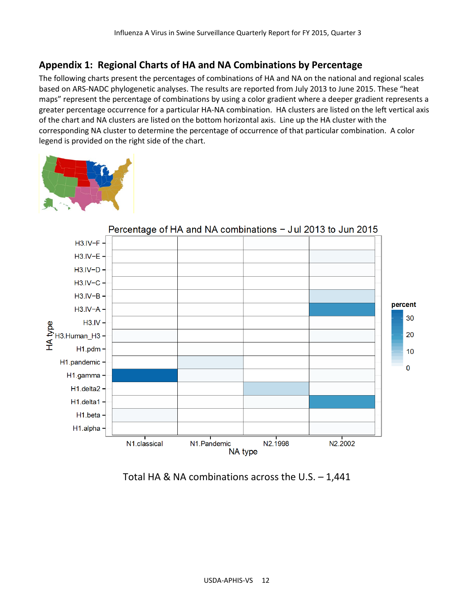## **Appendix 1: Regional Charts of HA and NA Combinations by Percentage**

The following charts present the percentages of combinations of HA and NA on the national and regional scales based on ARS-NADC phylogenetic analyses. The results are reported from July 2013 to June 2015. These "heat maps" represent the percentage of combinations by using a color gradient where a deeper gradient represents a greater percentage occurrence for a particular HA-NA combination. HA clusters are listed on the left vertical axis of the chart and NA clusters are listed on the bottom horizontal axis. Line up the HA cluster with the corresponding NA cluster to determine the percentage of occurrence of that particular combination. A color legend is provided on the right side of the chart.





Percentage of HA and NA combinations - Jul 2013 to Jun 2015

Total HA & NA combinations across the U.S. – 1,441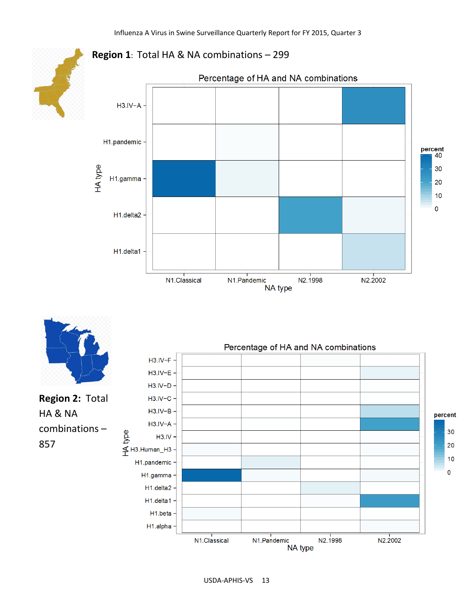

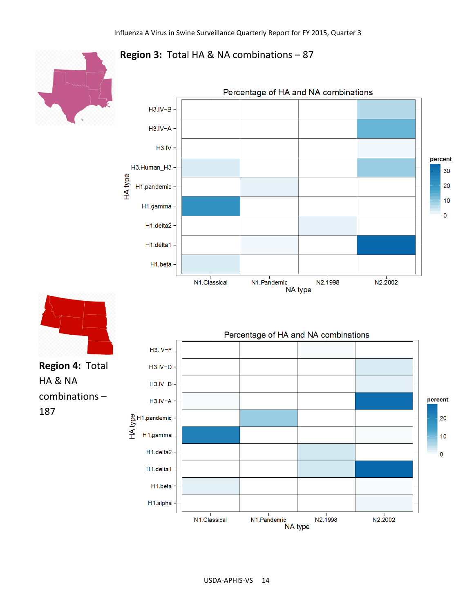